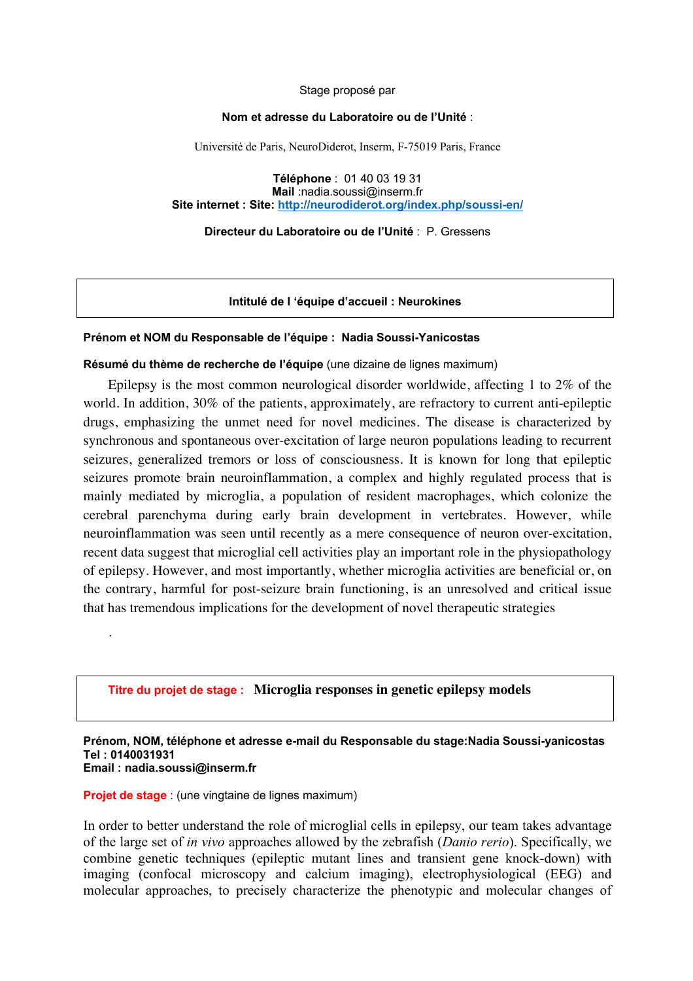Stage proposé par

#### **Nom et adresse du Laboratoire ou de l'Unité** :

Université de Paris, NeuroDiderot, Inserm, F-75019 Paris, France

**Téléphone** : 01 40 03 19 31 **Mail** :nadia.soussi@inserm.fr **Site internet : Site: http://neurodiderot.org/index.php/soussi-en/**

**Directeur du Laboratoire ou de l'Unité** : P. Gressens

**Intitulé de l 'équipe d'accueil : Neurokines**

### **Prénom et NOM du Responsable de l'équipe : Nadia Soussi-Yanicostas**

**Résumé du thème de recherche de l'équipe** (une dizaine de lignes maximum)

Epilepsy is the most common neurological disorder worldwide, affecting 1 to 2% of the world. In addition, 30% of the patients, approximately, are refractory to current anti-epileptic drugs, emphasizing the unmet need for novel medicines. The disease is characterized by synchronous and spontaneous over-excitation of large neuron populations leading to recurrent seizures, generalized tremors or loss of consciousness. It is known for long that epileptic seizures promote brain neuroinflammation, a complex and highly regulated process that is mainly mediated by microglia, a population of resident macrophages, which colonize the cerebral parenchyma during early brain development in vertebrates. However, while neuroinflammation was seen until recently as a mere consequence of neuron over-excitation, recent data suggest that microglial cell activities play an important role in the physiopathology of epilepsy. However, and most importantly, whether microglia activities are beneficial or, on the contrary, harmful for post-seizure brain functioning, is an unresolved and critical issue that has tremendous implications for the development of novel therapeutic strategies

# **Titre du projet de stage : Microglia responses in genetic epilepsy models**

#### **Prénom, NOM, téléphone et adresse e-mail du Responsable du stage:Nadia Soussi-yanicostas Tel : 0140031931 Email : nadia.soussi@inserm.fr**

**Projet de stage** : (une vingtaine de lignes maximum)

.

In order to better understand the role of microglial cells in epilepsy, our team takes advantage of the large set of *in vivo* approaches allowed by the zebrafish (*Danio rerio*). Specifically, we combine genetic techniques (epileptic mutant lines and transient gene knock-down) with imaging (confocal microscopy and calcium imaging), electrophysiological (EEG) and molecular approaches, to precisely characterize the phenotypic and molecular changes of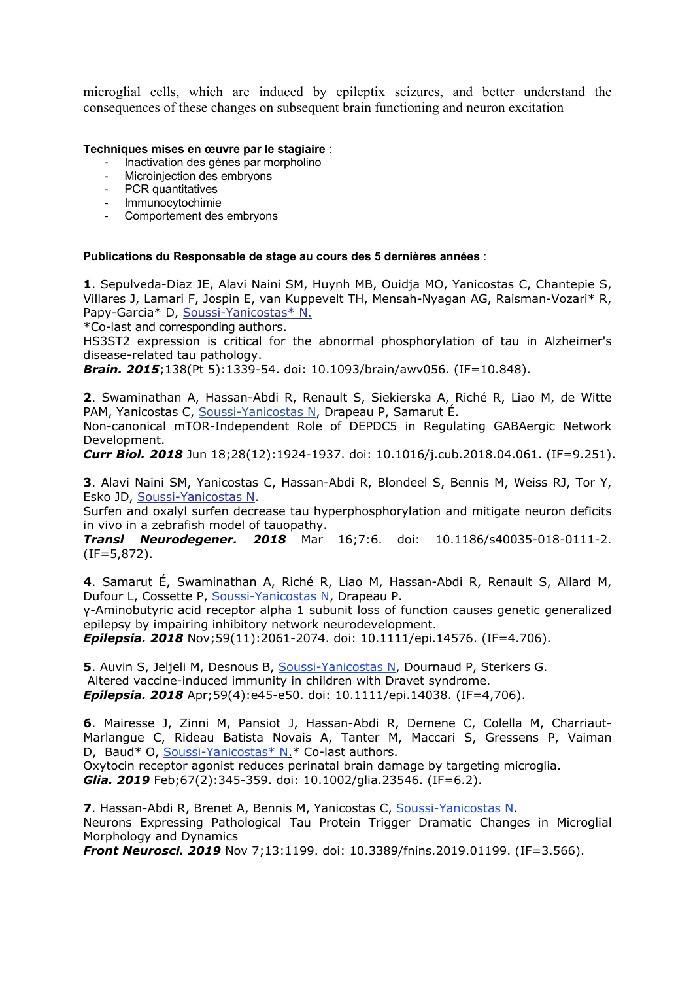microglial cells, which are induced by epileptix seizures, and better understand the consequences of these changes on subsequent brain functioning and neuron excitation

## **Techniques mises en œuvre par le stagiaire** :

- Inactivation des gènes par morpholino
- Microinjection des embryons
- PCR quantitatives
- Immunocytochimie
- Comportement des embryons

### **Publications du Responsable de stage au cours des 5 dernières années** :

**1**. Sepulveda-Diaz JE, Alavi Naini SM, Huynh MB, Ouidja MO, Yanicostas C, Chantepie S, Villares J, Lamari F, Jospin E, van Kuppevelt TH, Mensah-Nyagan AG, Raisman-Vozari\* R, Papy-Garcia\* D, Soussi-Yanicostas\* N.

\*Co-last and corresponding authors.

HS3ST2 expression is critical for the abnormal phosphorylation of tau in Alzheimer's disease-related tau pathology.

*Brain. 2015*;138(Pt 5):1339-54. doi: 10.1093/brain/awv056. (IF=10.848).

**2**. Swaminathan A, Hassan-Abdi R, Renault S, Siekierska A, Riché R, Liao M, de Witte PAM, Yanicostas C, Soussi-Yanicostas N, Drapeau P, Samarut É.

Non-canonical mTOR-Independent Role of DEPDC5 in Regulating GABAergic Network Development.

*Curr Biol. 2018* Jun 18;28(12):1924-1937. doi: 10.1016/j.cub.2018.04.061. (IF=9.251).

**3**. Alavi Naini SM, Yanicostas C, Hassan-Abdi R, Blondeel S, Bennis M, Weiss RJ, Tor Y, Esko JD, Soussi-Yanicostas N.

Surfen and oxalyl surfen decrease tau hyperphosphorylation and mitigate neuron deficits in vivo in a zebrafish model of tauopathy.

*Transl Neurodegener. 2018* Mar 16;7:6. doi: 10.1186/s40035-018-0111-2. (IF=5,872).

**4**. Samarut É, Swaminathan A, Riché R, Liao M, Hassan-Abdi R, Renault S, Allard M, Dufour L, Cossette P, Soussi-Yanicostas N, Drapeau P.

γ-Aminobutyric acid receptor alpha 1 subunit loss of function causes genetic generalized epilepsy by impairing inhibitory network neurodevelopment.

*Epilepsia. 2018* Nov;59(11):2061-2074. doi: 10.1111/epi.14576. (IF=4.706).

**5**. Auvin S, Jeljeli M, Desnous B, Soussi-Yanicostas N, Dournaud P, Sterkers G. Altered vaccine-induced immunity in children with Dravet syndrome. *Epilepsia. 2018* Apr;59(4):e45-e50. doi: 10.1111/epi.14038. (IF=4,706).

**6**. Mairesse J, Zinni M, Pansiot J, Hassan-Abdi R, Demene C, Colella M, Charriaut-Marlangue C, Rideau Batista Novais A, Tanter M, Maccari S, Gressens P, Vaiman D, Baud\* O, Soussi-Yanicostas\* N.\* Co-last authors.

Oxytocin receptor agonist reduces perinatal brain damage by targeting microglia. *Glia. 2019* Feb;67(2):345-359. doi: 10.1002/glia.23546. (IF=6.2).

**7**. Hassan-Abdi R, Brenet A, Bennis M, Yanicostas C, Soussi-Yanicostas N. Neurons Expressing Pathological Tau Protein Trigger Dramatic Changes in Microglial Morphology and Dynamics

*Front Neurosci. 2019* Nov 7;13:1199. doi: 10.3389/fnins.2019.01199. (IF=3.566).